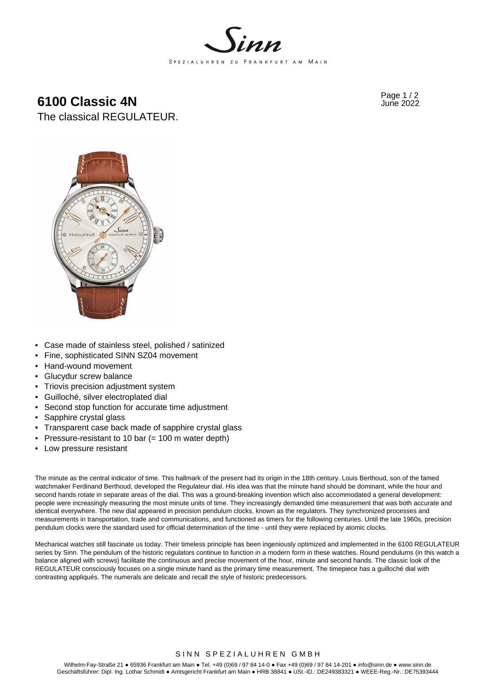

# **6100 Classic 4N**  $^{Page 1/2}$





- Case made of stainless steel, polished / satinized
- Fine, sophisticated SINN SZ04 movement
- Hand-wound movement
- Glucydur screw balance
- Triovis precision adjustment system
- Guilloché, silver electroplated dial
- Second stop function for accurate time adjustment
- Sapphire crystal glass
- Transparent case back made of sapphire crystal glass
- Pressure-resistant to 10 bar (= 100 m water depth)
- Low pressure resistant

The minute as the central indicator of time. This hallmark of the present had its origin in the 18th century. Louis Berthoud, son of the famed watchmaker Ferdinand Berthoud, developed the Regulateur dial. His idea was that the minute hand should be dominant, while the hour and second hands rotate in separate areas of the dial. This was a ground-breaking invention which also accommodated a general development: people were increasingly measuring the most minute units of time. They increasingly demanded time measurement that was both accurate and identical everywhere. The new dial appeared in precision pendulum clocks, known as the regulators. They synchronized processes and measurements in transportation, trade and communications, and functioned as timers for the following centuries. Until the late 1960s, precision pendulum clocks were the standard used for official determination of the time - until they were replaced by atomic clocks.

Mechanical watches still fascinate us today. Their timeless principle has been ingeniously optimized and implemented in the 6100 REGULATEUR series by Sinn. The pendulum of the historic regulators continue to function in a modern form in these watches. Round pendulums (in this watch a balance aligned with screws) facilitate the continuous and precise movement of the hour, minute and second hands. The classic look of the REGULATEUR consciously focuses on a single minute hand as the primary time measurement. The timepiece has a guilloché dial with contrasting appliqués. The numerals are delicate and recall the style of historic predecessors.

# SINN SPEZIALUHREN GMBH